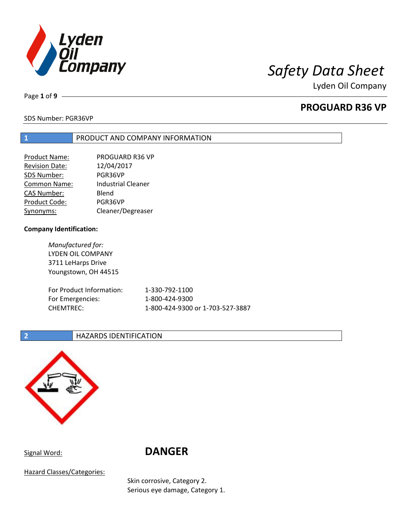

Page **1** of **9**

# **PROGUARD R36 VP**

### SDS Number: PGR36VP

### **1** PRODUCT AND COMPANY INFORMATION

| Product Name:         | PROGUARD R36 VP           |
|-----------------------|---------------------------|
| <b>Revision Date:</b> | 12/04/2017                |
| SDS Number:           | PGR36VP                   |
| Common Name:          | <b>Industrial Cleaner</b> |
| <b>CAS Number:</b>    | Blend                     |
| Product Code:         | PGR36VP                   |
| Synonyms:             | Cleaner/Degreaser         |

### **Company Identification:**

*Manufactured for:* LYDEN OIL COMPANY 3711 LeHarps Drive Youngstown, OH 44515 For Product Information: 1-330-792-1100 For Emergencies: 1-800-424-9300 CHEMTREC: 1-800-424-9300 or 1-703-527-3887

### **2 HAZARDS IDENTIFICATION**



# Signal Word: **DANGER**

Hazard Classes/Categories:

Skin corrosive, Category 2. Serious eye damage, Category 1.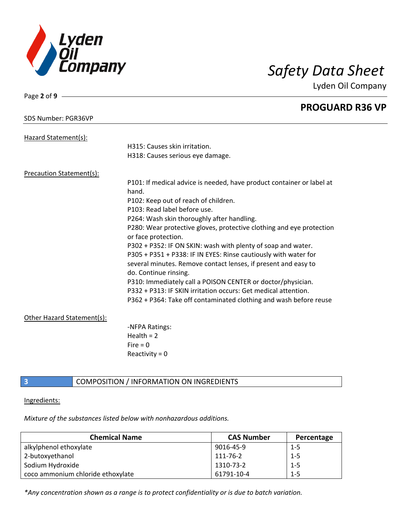

Page **2** of **9**

Lyden Oil Company

|                            | <b>PROGUARD R36 VP</b>                                                |
|----------------------------|-----------------------------------------------------------------------|
| SDS Number: PGR36VP        |                                                                       |
| Hazard Statement(s):       |                                                                       |
|                            | H315: Causes skin irritation.                                         |
|                            | H318: Causes serious eye damage.                                      |
| Precaution Statement(s):   |                                                                       |
|                            | P101: If medical advice is needed, have product container or label at |
|                            | hand.                                                                 |
|                            | P102: Keep out of reach of children.                                  |
|                            | P103: Read label before use.                                          |
|                            | P264: Wash skin thoroughly after handling.                            |
|                            | P280: Wear protective gloves, protective clothing and eye protection  |
|                            | or face protection.                                                   |
|                            | P302 + P352: IF ON SKIN: wash with plenty of soap and water.          |
|                            | P305 + P351 + P338: IF IN EYES: Rinse cautiously with water for       |
|                            | several minutes. Remove contact lenses, if present and easy to        |
|                            | do. Continue rinsing.                                                 |
|                            | P310: Immediately call a POISON CENTER or doctor/physician.           |
|                            | P332 + P313: IF SKIN irritation occurs: Get medical attention.        |
|                            | P362 + P364: Take off contaminated clothing and wash before reuse     |
| Other Hazard Statement(s): |                                                                       |
|                            | -NFPA Ratings:                                                        |
|                            | Health $= 2$                                                          |
|                            | Fire $= 0$                                                            |
|                            | Reactivity = $0$                                                      |
|                            |                                                                       |

### **3** COMPOSITION / INFORMATION ON INGREDIENTS

Ingredients:

*Mixture of the substances listed below with nonhazardous additions.*

| <b>Chemical Name</b>              | <b>CAS Number</b> | Percentage |
|-----------------------------------|-------------------|------------|
| alkylphenol ethoxylate            | 9016-45-9         | $1 - 5$    |
| 2-butoxyethanol                   | 111-76-2          | $1 - 5$    |
| Sodium Hydroxide                  | 1310-73-2         | $1 - 5$    |
| coco ammonium chloride ethoxylate | 61791-10-4        | $1 - 5$    |

*\*Any concentration shown as a range is to protect confidentiality or is due to batch variation.*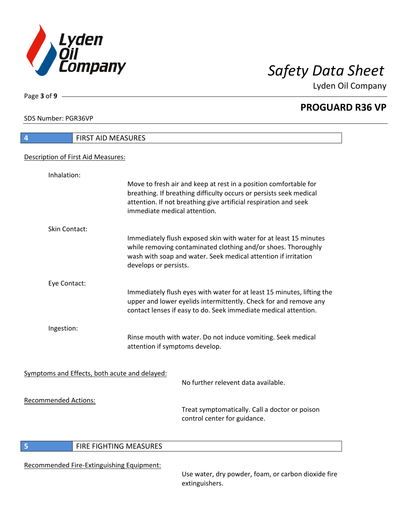

**PROGUARD R36 VP**

SDS Number: PGR36VP

Page **3** of **9**

| 4                                             | FIRST AID MEASURES                                                                                                                                                                                                                         |
|-----------------------------------------------|--------------------------------------------------------------------------------------------------------------------------------------------------------------------------------------------------------------------------------------------|
| Description of First Aid Measures:            |                                                                                                                                                                                                                                            |
| Inhalation:                                   |                                                                                                                                                                                                                                            |
|                                               | Move to fresh air and keep at rest in a position comfortable for<br>breathing. If breathing difficulty occurs or persists seek medical<br>attention. If not breathing give artificial respiration and seek<br>immediate medical attention. |
| Skin Contact:                                 |                                                                                                                                                                                                                                            |
|                                               | Immediately flush exposed skin with water for at least 15 minutes<br>while removing contaminated clothing and/or shoes. Thoroughly<br>wash with soap and water. Seek medical attention if irritation<br>develops or persists.              |
| Eye Contact:                                  |                                                                                                                                                                                                                                            |
|                                               | Immediately flush eyes with water for at least 15 minutes, lifting the<br>upper and lower eyelids intermittently. Check for and remove any<br>contact lenses if easy to do. Seek immediate medical attention.                              |
| Ingestion:                                    |                                                                                                                                                                                                                                            |
|                                               | Rinse mouth with water. Do not induce vomiting. Seek medical<br>attention if symptoms develop.                                                                                                                                             |
| Symptoms and Effects, both acute and delayed: |                                                                                                                                                                                                                                            |
|                                               | No further relevent data available.                                                                                                                                                                                                        |
| <b>Recommended Actions:</b>                   |                                                                                                                                                                                                                                            |
|                                               | Treat symptomatically. Call a doctor or poison<br>control center for guidance.                                                                                                                                                             |
|                                               |                                                                                                                                                                                                                                            |

## **5** FIRE FIGHTING MEASURES

Recommended Fire-Extinguishing Equipment:

Use water, dry powder, foam, or carbon dioxide fire extinguishers.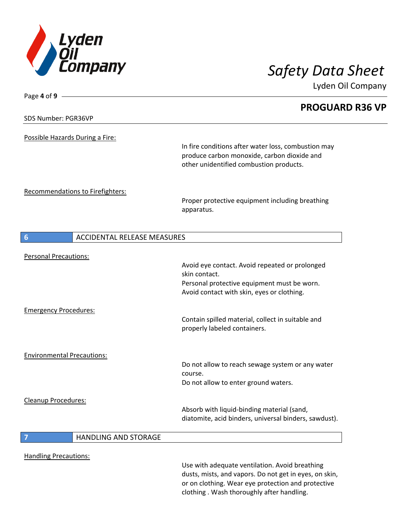

| Page 4 of 9                                           |                                                                                                          |  |
|-------------------------------------------------------|----------------------------------------------------------------------------------------------------------|--|
|                                                       | <b>PROGUARD R36 VP</b>                                                                                   |  |
| SDS Number: PGR36VP                                   |                                                                                                          |  |
|                                                       |                                                                                                          |  |
| Possible Hazards During a Fire:                       |                                                                                                          |  |
|                                                       | In fire conditions after water loss, combustion may<br>produce carbon monoxide, carbon dioxide and       |  |
|                                                       | other unidentified combustion products.                                                                  |  |
|                                                       |                                                                                                          |  |
|                                                       |                                                                                                          |  |
| Recommendations to Firefighters:                      | Proper protective equipment including breathing                                                          |  |
|                                                       | apparatus.                                                                                               |  |
|                                                       |                                                                                                          |  |
|                                                       |                                                                                                          |  |
| <b>ACCIDENTAL RELEASE MEASURES</b><br>$6\phantom{1}6$ |                                                                                                          |  |
| <b>Personal Precautions:</b>                          |                                                                                                          |  |
|                                                       | Avoid eye contact. Avoid repeated or prolonged                                                           |  |
|                                                       | skin contact.                                                                                            |  |
|                                                       | Personal protective equipment must be worn.                                                              |  |
|                                                       | Avoid contact with skin, eyes or clothing.                                                               |  |
| <b>Emergency Procedures:</b>                          |                                                                                                          |  |
|                                                       | Contain spilled material, collect in suitable and                                                        |  |
|                                                       | properly labeled containers.                                                                             |  |
|                                                       |                                                                                                          |  |
| <b>Environmental Precautions:</b>                     |                                                                                                          |  |
|                                                       | Do not allow to reach sewage system or any water                                                         |  |
|                                                       | course.                                                                                                  |  |
|                                                       | Do not allow to enter ground waters.                                                                     |  |
| <b>Cleanup Procedures:</b>                            |                                                                                                          |  |
|                                                       | Absorb with liquid-binding material (sand,                                                               |  |
|                                                       | diatomite, acid binders, universal binders, sawdust).                                                    |  |
| <b>HANDLING AND STORAGE</b><br>$\overline{7}$         |                                                                                                          |  |
|                                                       |                                                                                                          |  |
| <b>Handling Precautions:</b>                          |                                                                                                          |  |
|                                                       | Use with adequate ventilation. Avoid breathing<br>dusts, mists, and vapors. Do not get in eyes, on skin, |  |
|                                                       | or on clothing. Wear eye protection and protective                                                       |  |
|                                                       | clothing. Wash thoroughly after handling.                                                                |  |
|                                                       |                                                                                                          |  |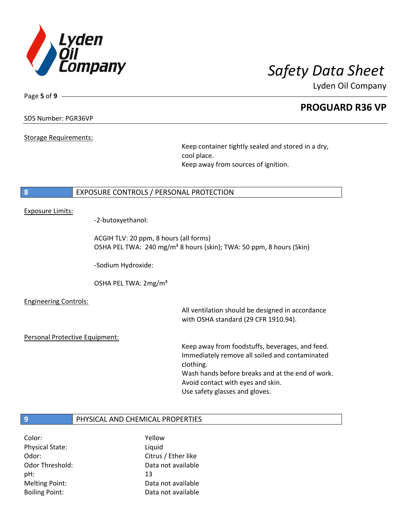

Page **5** of **9**

## **PROGUARD R36 VP**

### SDS Number: PGR36VP

Storage Requirements:

Keep container tightly sealed and stored in a dry, cool place. Keep away from sources of ignition.

### **8** EXPOSURE CONTROLS / PERSONAL PROTECTION

### Exposure Limits:

-2-butoxyethanol:

ACGIH TLV: 20 ppm, 8 hours (all forms) OSHA PEL TWA: 240 mg/m<sup>3</sup> 8 hours (skin); TWA: 50 ppm, 8 hours (Skin)

-Sodium Hydroxide:

OSHA PEL TWA: 2mg/m³

Engineering Controls:

All ventilation should be designed in accordance with OSHA standard (29 CFR 1910.94).

Personal Protective Equipment:

Keep away from foodstuffs, beverages, and feed. Immediately remove all soiled and contaminated clothing. Wash hands before breaks and at the end of work. Avoid contact with eyes and skin. Use safety glasses and gloves.

### **9** PHYSICAL AND CHEMICAL PROPERTIES

Color: Yellow Physical State: Liquid pH: 13

Odor: Citrus / Ether like Odor Threshold: Data not available Melting Point: Data not available Boiling Point: Data not available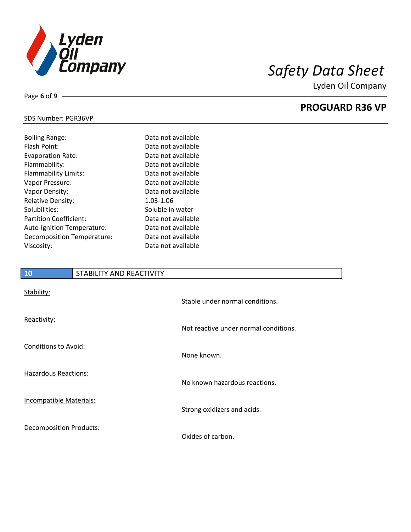

**PROGUARD R36 VP**

# SDS Number: PGR36VP

Page **6** of **9**

| <b>Boiling Range:</b>         | Data not available |
|-------------------------------|--------------------|
| Flash Point:                  | Data not available |
| <b>Evaporation Rate:</b>      | Data not available |
| Flammability:                 | Data not available |
| Flammability Limits:          | Data not available |
| Vapor Pressure:               | Data not available |
| Vapor Density:                | Data not available |
| <b>Relative Density:</b>      | 1.03-1.06          |
| Solubilities:                 | Soluble in water   |
| <b>Partition Coefficient:</b> | Data not available |
| Auto-Ignition Temperature:    | Data not available |
| Decomposition Temperature:    | Data not available |
| Viscosity:                    | Data not available |

# **10** STABILITY AND REACTIVITY Stability: Stable under normal conditions. Reactivity: Not reactive under normal conditions. Conditions to Avoid: None known. Hazardous Reactions: No known hazardous reactions. Incompatible Materials: Strong oxidizers and acids. Decomposition Products: Oxides of carbon.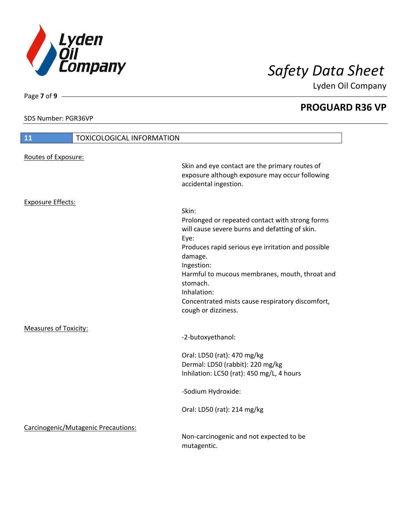

**PROGUARD R36 VP**

SDS Number: PGR36VP

Page **7** of **9**

I

| 11                           | <b>TOXICOLOGICAL INFORMATION</b>    |                                                                                                                                                                                                                                                                                                                                    |
|------------------------------|-------------------------------------|------------------------------------------------------------------------------------------------------------------------------------------------------------------------------------------------------------------------------------------------------------------------------------------------------------------------------------|
| Routes of Exposure:          |                                     |                                                                                                                                                                                                                                                                                                                                    |
|                              |                                     | Skin and eye contact are the primary routes of<br>exposure although exposure may occur following<br>accidental ingestion.                                                                                                                                                                                                          |
| <b>Exposure Effects:</b>     |                                     |                                                                                                                                                                                                                                                                                                                                    |
|                              |                                     | Skin:<br>Prolonged or repeated contact with strong forms<br>will cause severe burns and defatting of skin.<br>Eye:<br>Produces rapid serious eye irritation and possible<br>damage.<br>Ingestion:<br>Harmful to mucous membranes, mouth, throat and<br>stomach.<br>Inhalation:<br>Concentrated mists cause respiratory discomfort, |
|                              |                                     | cough or dizziness.                                                                                                                                                                                                                                                                                                                |
| <b>Measures of Toxicity:</b> |                                     | -2-butoxyethanol:                                                                                                                                                                                                                                                                                                                  |
|                              |                                     | Oral: LD50 (rat): 470 mg/kg<br>Dermal: LD50 (rabbit): 220 mg/kg<br>Inhilation: LC50 (rat): 450 mg/L, 4 hours                                                                                                                                                                                                                       |
|                              |                                     | -Sodium Hydroxide:                                                                                                                                                                                                                                                                                                                 |
|                              |                                     | Oral: LD50 (rat): 214 mg/kg                                                                                                                                                                                                                                                                                                        |
|                              | Carcinogenic/Mutagenic Precautions: |                                                                                                                                                                                                                                                                                                                                    |
|                              |                                     | Non-carcinogenic and not expected to be<br>mutagentic.                                                                                                                                                                                                                                                                             |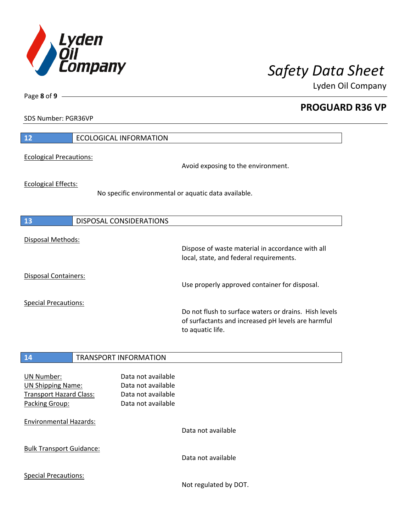

**PROGUARD R36 VP**

SDS Number: PGR36VP

Page **8** of **9**

| 12                             | <b>ECOLOGICAL INFORMATION</b>                                                                                                   |
|--------------------------------|---------------------------------------------------------------------------------------------------------------------------------|
| <b>Ecological Precautions:</b> | Avoid exposing to the environment.                                                                                              |
| <b>Ecological Effects:</b>     | No specific environmental or aquatic data available.                                                                            |
| 13                             | DISPOSAL CONSIDERATIONS                                                                                                         |
| Disposal Methods:              | Dispose of waste material in accordance with all<br>local, state, and federal requirements.                                     |
| Disposal Containers:           | Use properly approved container for disposal.                                                                                   |
| <b>Special Precautions:</b>    | Do not flush to surface waters or drains. Hish levels<br>of surfactants and increased pH levels are harmful<br>to aquatic life. |

### **14** TRANSPORT INFORMATION

| <b>UN Number:</b><br><b>UN Shipping Name:</b><br><b>Transport Hazard Class:</b><br>Packing Group: | Data not available<br>Data not available<br>Data not available<br>Data not available |                       |
|---------------------------------------------------------------------------------------------------|--------------------------------------------------------------------------------------|-----------------------|
| <b>Environmental Hazards:</b>                                                                     |                                                                                      | Data not available    |
| <b>Bulk Transport Guidance:</b>                                                                   |                                                                                      | Data not available    |
| <b>Special Precautions:</b>                                                                       |                                                                                      | Not regulated by DOT. |